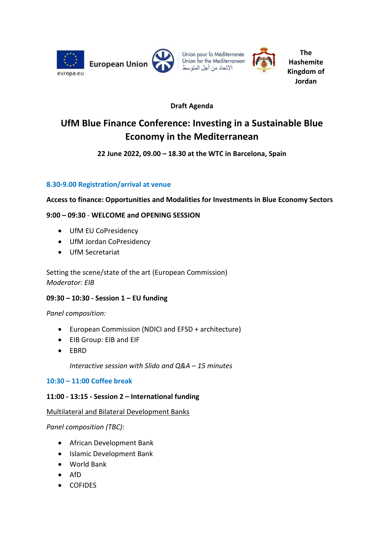



**The Hashemite Kingdom of Jordan**

# **Draft Agenda**

# **UfM Blue Finance Conference: Investing in a Sustainable Blue Economy in the Mediterranean**

## **22 June 2022, 09.00 – 18.30 at the WTC in Barcelona, Spain**

## **8.30-9.00 Registration/arrival at venue**

**Access to finance: Opportunities and Modalities for Investments in Blue Economy Sectors**

## **9:00 – 09:30** - **WELCOME and OPENING SESSION**

- UfM EU CoPresidency
- UfM Jordan CoPresidency
- UfM Secretariat

Setting the scene/state of the art (European Commission) *Moderator: EIB*

### **09:30 – 10:30 - Session 1 – EU funding**

*Panel composition:*

- European Commission (NDICI and EFSD + architecture)
- EIB Group: EIB and EIF
- EBRD

*Interactive session with Slido and Q&A – 15 minutes*

### **10:30 – 11:00 Coffee break**

### **11:00 - 13:15 - Session 2 – International funding**

Multilateral and Bilateral Development Banks

*Panel composition (TBC):*

- African Development Bank
- Islamic Development Bank
- World Bank
- $\bullet$  AfD
- COFIDES